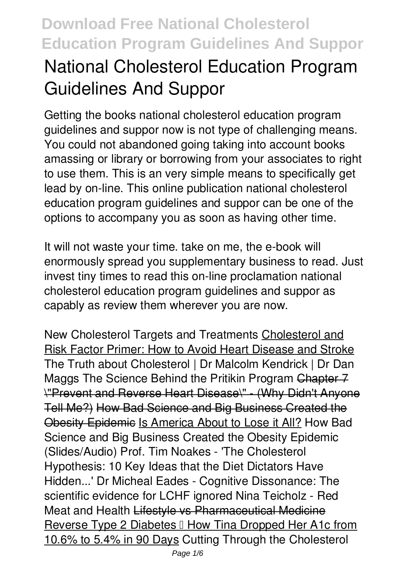# **National Cholesterol Education Program Guidelines And Suppor**

Getting the books **national cholesterol education program guidelines and suppor** now is not type of challenging means. You could not abandoned going taking into account books amassing or library or borrowing from your associates to right to use them. This is an very simple means to specifically get lead by on-line. This online publication national cholesterol education program guidelines and suppor can be one of the options to accompany you as soon as having other time.

It will not waste your time. take on me, the e-book will enormously spread you supplementary business to read. Just invest tiny times to read this on-line proclamation **national cholesterol education program guidelines and suppor** as capably as review them wherever you are now.

**New Cholesterol Targets and Treatments** Cholesterol and Risk Factor Primer: How to Avoid Heart Disease and Stroke The Truth about Cholesterol | Dr Malcolm Kendrick | Dr Dan Maggs **The Science Behind the Pritikin Program** Chapter 7 \"Prevent and Reverse Heart Disease\" - (Why Didn't Anyone Tell Me?) How Bad Science and Big Business Created the Obesity Epidemic Is America About to Lose it All? How Bad Science and Big Business Created the Obesity Epidemic (Slides/Audio) *Prof. Tim Noakes - 'The Cholesterol Hypothesis: 10 Key Ideas that the Diet Dictators Have Hidden...'* Dr Micheal Eades - Cognitive Dissonance: The scientific evidence for LCHF ignored Nina Teicholz - Red Meat and Health Lifestyle vs Pharmaceutical Medicine Reverse Type 2 Diabetes II How Tina Dropped Her A1c from 10.6% to 5.4% in 90 Days *Cutting Through the Cholesterol*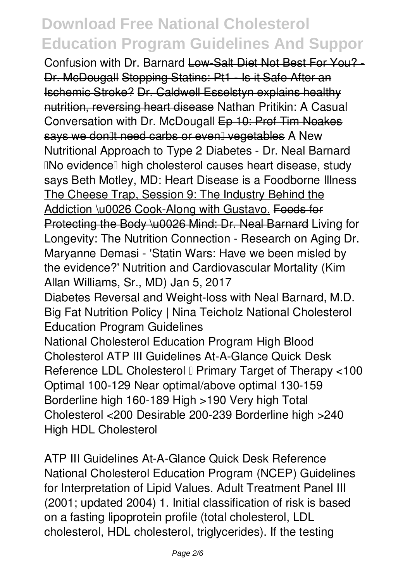*Confusion with Dr. Barnard* Low-Salt Diet Not Best For You? - Dr. McDougall Stopping Statins: Pt1 - Is it Safe After an Ischemic Stroke? Dr. Caldwell Esselstyn explains healthy nutrition, reversing heart disease Nathan Pritikin: A Casual Conversation with Dr. McDougall Ep 10: Prof Tim Noakes says we don't need carbs or even… vegetables **A New Nutritional Approach to Type 2 Diabetes - Dr. Neal Barnard** *'No evidence' high cholesterol causes heart disease, study says Beth Motley, MD: Heart Disease is a Foodborne Illness* The Cheese Trap, Session 9: The Industry Behind the Addiction \u0026 Cook-Along with Gustavo. Foods for Protecting the Body \u0026 Mind: Dr. Neal Barnard Living for Longevity: The Nutrition Connection - Research on Aging *Dr. Maryanne Demasi - 'Statin Wars: Have we been misled by the evidence?' Nutrition and Cardiovascular Mortality (Kim Allan Williams, Sr., MD) Jan 5, 2017*

Diabetes Reversal and Weight-loss with Neal Barnard, M.D. *Big Fat Nutrition Policy | Nina Teicholz National Cholesterol Education Program Guidelines*

National Cholesterol Education Program High Blood Cholesterol ATP III Guidelines At-A-Glance Quick Desk Reference LDL Cholesterol I Primary Target of Therapy <100 Optimal 100-129 Near optimal/above optimal 130-159 Borderline high 160-189 High >190 Very high Total Cholesterol <200 Desirable 200-239 Borderline high >240 High HDL Cholesterol

*ATP III Guidelines At-A-Glance Quick Desk Reference* National Cholesterol Education Program (NCEP) Guidelines for Interpretation of Lipid Values. Adult Treatment Panel III (2001; updated 2004) 1. Initial classification of risk is based on a fasting lipoprotein profile (total cholesterol, LDL cholesterol, HDL cholesterol, triglycerides). If the testing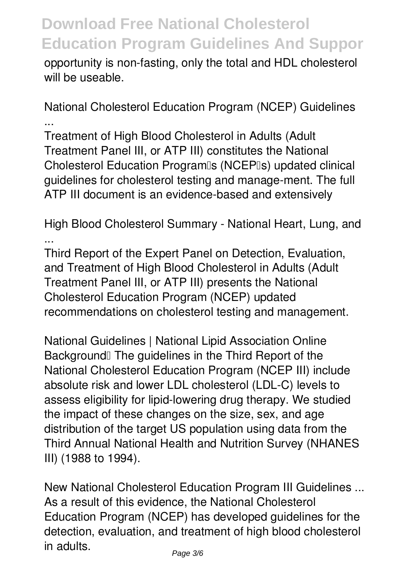opportunity is non-fasting, only the total and HDL cholesterol will be useable.

*National Cholesterol Education Program (NCEP) Guidelines ...*

Treatment of High Blood Cholesterol in Adults (Adult Treatment Panel III, or ATP III) constitutes the National Cholesterol Education Program<sup>®</sup>s (NCEP<sup>®</sup>s) updated clinical guidelines for cholesterol testing and manage-ment. The full ATP III document is an evidence-based and extensively

*High Blood Cholesterol Summary - National Heart, Lung, and ...*

Third Report of the Expert Panel on Detection, Evaluation, and Treatment of High Blood Cholesterol in Adults (Adult Treatment Panel III, or ATP III) presents the National Cholesterol Education Program (NCEP) updated recommendations on cholesterol testing and management.

*National Guidelines | National Lipid Association Online* Background<sup>[1]</sup> The guidelines in the Third Report of the National Cholesterol Education Program (NCEP III) include absolute risk and lower LDL cholesterol (LDL-C) levels to assess eligibility for lipid-lowering drug therapy. We studied the impact of these changes on the size, sex, and age distribution of the target US population using data from the Third Annual National Health and Nutrition Survey (NHANES III) (1988 to 1994).

*New National Cholesterol Education Program III Guidelines ...* As a result of this evidence, the National Cholesterol Education Program (NCEP) has developed guidelines for the detection, evaluation, and treatment of high blood cholesterol in adults.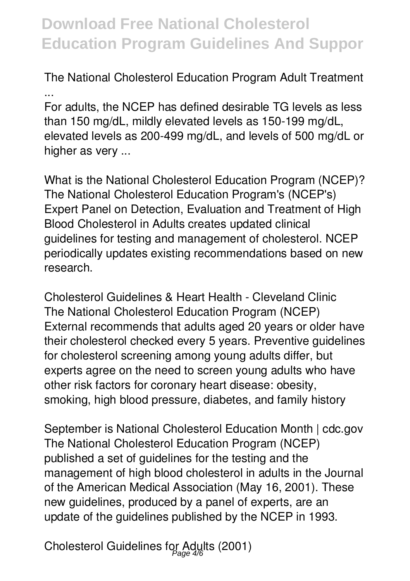*The National Cholesterol Education Program Adult Treatment ...*

For adults, the NCEP has defined desirable TG levels as less than 150 mg/dL, mildly elevated levels as 150-199 mg/dL, elevated levels as 200-499 mg/dL, and levels of 500 mg/dL or higher as very ...

*What is the National Cholesterol Education Program (NCEP)?* The National Cholesterol Education Program's (NCEP's) Expert Panel on Detection, Evaluation and Treatment of High Blood Cholesterol in Adults creates updated clinical guidelines for testing and management of cholesterol. NCEP periodically updates existing recommendations based on new research.

*Cholesterol Guidelines & Heart Health - Cleveland Clinic* The National Cholesterol Education Program (NCEP) External recommends that adults aged 20 years or older have their cholesterol checked every 5 years. Preventive guidelines for cholesterol screening among young adults differ, but experts agree on the need to screen young adults who have other risk factors for coronary heart disease: obesity, smoking, high blood pressure, diabetes, and family history

*September is National Cholesterol Education Month | cdc.gov* The National Cholesterol Education Program (NCEP) published a set of guidelines for the testing and the management of high blood cholesterol in adults in the Journal of the American Medical Association (May 16, 2001). These new guidelines, produced by a panel of experts, are an update of the guidelines published by the NCEP in 1993.

*Cholesterol Guidelines for Adults (2001)* Page 4/6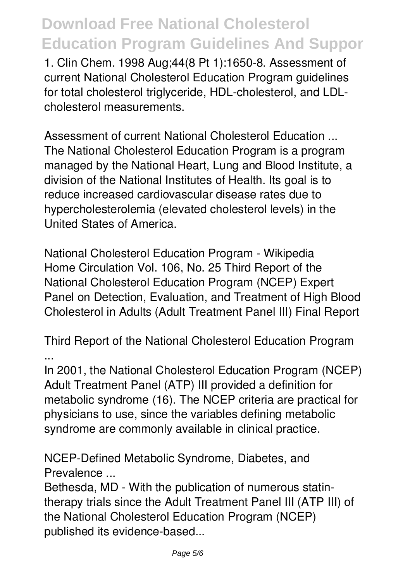1. Clin Chem. 1998 Aug;44(8 Pt 1):1650-8. Assessment of current National Cholesterol Education Program guidelines for total cholesterol triglyceride, HDL-cholesterol, and LDLcholesterol measurements.

*Assessment of current National Cholesterol Education ...* The National Cholesterol Education Program is a program managed by the National Heart, Lung and Blood Institute, a division of the National Institutes of Health. Its goal is to reduce increased cardiovascular disease rates due to hypercholesterolemia (elevated cholesterol levels) in the United States of America.

*National Cholesterol Education Program - Wikipedia* Home Circulation Vol. 106, No. 25 Third Report of the National Cholesterol Education Program (NCEP) Expert Panel on Detection, Evaluation, and Treatment of High Blood Cholesterol in Adults (Adult Treatment Panel III) Final Report

*Third Report of the National Cholesterol Education Program ...*

In 2001, the National Cholesterol Education Program (NCEP) Adult Treatment Panel (ATP) III provided a definition for metabolic syndrome (16). The NCEP criteria are practical for physicians to use, since the variables defining metabolic syndrome are commonly available in clinical practice.

*NCEP-Defined Metabolic Syndrome, Diabetes, and Prevalence ...*

Bethesda, MD - With the publication of numerous statintherapy trials since the Adult Treatment Panel III (ATP III) of the National Cholesterol Education Program (NCEP) published its evidence-based...